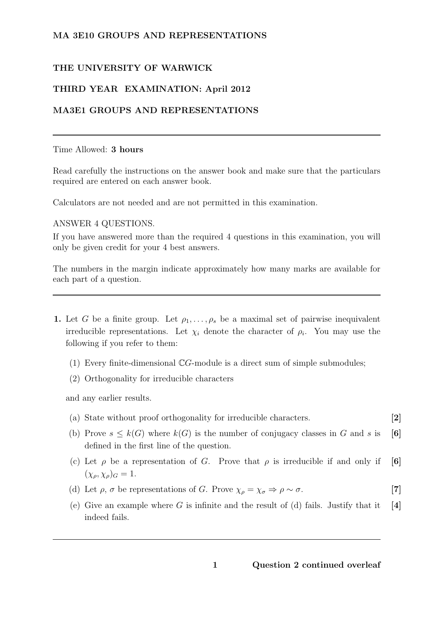### MA 3E10 GROUPS AND REPRESENTATIONS

#### THE UNIVERSITY OF WARWICK

### THIRD YEAR EXAMINATION: April 2012

#### MA3E1 GROUPS AND REPRESENTATIONS

#### Time Allowed: 3 hours

Read carefully the instructions on the answer book and make sure that the particulars required are entered on each answer book.

Calculators are not needed and are not permitted in this examination.

#### ANSWER 4 QUESTIONS.

If you have answered more than the required 4 questions in this examination, you will only be given credit for your 4 best answers.

The numbers in the margin indicate approximately how many marks are available for each part of a question.

- 1. Let G be a finite group. Let  $\rho_1, \ldots, \rho_s$  be a maximal set of pairwise inequivalent irreducible representations. Let  $\chi_i$  denote the character of  $\rho_i$ . You may use the following if you refer to them:
	- (1) Every finite-dimensional CG-module is a direct sum of simple submodules;
	- (2) Orthogonality for irreducible characters

and any earlier results.

- (a) State without proof orthogonality for irreducible characters. [2]
- (b) Prove  $s \leq k(G)$  where  $k(G)$  is the number of conjugacy classes in G and s is [6] defined in the first line of the question.
- (c) Let  $\rho$  be a representation of G. Prove that  $\rho$  is irreducible if and only if [6]  $(\chi_{\rho}, \chi_{\rho})_G = 1.$
- (d) Let  $\rho$ ,  $\sigma$  be representations of G. Prove  $\chi_{\rho} = \chi_{\sigma} \Rightarrow \rho \sim \sigma$ . [7]
- (e) Give an example where G is infinite and the result of (d) fails. Justify that it  $[4]$ indeed fails.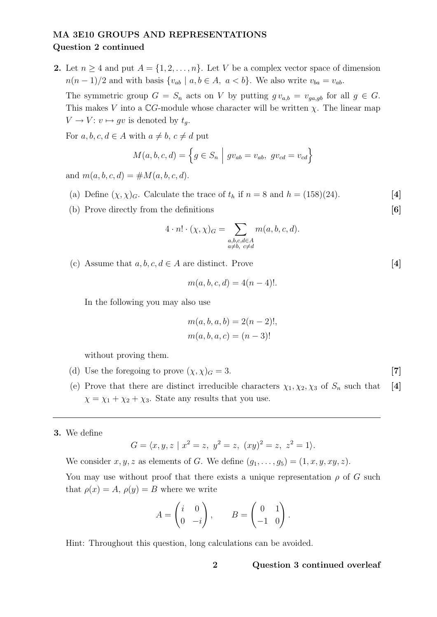## MA 3E10 GROUPS AND REPRESENTATIONS Question 2 continued

2. Let  $n \geq 4$  and put  $A = \{1, 2, ..., n\}$ . Let V be a complex vector space of dimension  $n(n-1)/2$  and with basis  $\{v_{ab} \mid a, b \in A, a < b\}$ . We also write  $v_{ba} = v_{ab}$ .

The symmetric group  $G = S_n$  acts on V by putting  $gv_{a,b} = v_{ga,gb}$  for all  $g \in G$ . This makes V into a  $\mathbb{C}G$ -module whose character will be written  $\chi$ . The linear map  $V \to V: v \mapsto gv$  is denoted by  $t_q$ .

For  $a, b, c, d \in A$  with  $a \neq b, c \neq d$  put

$$
M(a, b, c, d) = \left\{ g \in S_n \mid gv_{ab} = v_{ab}, gv_{cd} = v_{cd} \right\}
$$

and  $m(a, b, c, d) = \# M(a, b, c, d).$ 

- (a) Define  $(\chi, \chi)_{G}$ . Calculate the trace of  $t_h$  if  $n = 8$  and  $h = (158)(24)$ . [4]
- (b) Prove directly from the definitions [6]

$$
4 \cdot n! \cdot (\chi, \chi) = \sum_{\substack{a,b,c,d \in A \\ a \neq b, \ c \neq d}} m(a,b,c,d).
$$

(c) Assume that  $a, b, c, d \in A$  are distinct. Prove [4]

$$
m(a, b, c, d) = 4(n - 4)!
$$

In the following you may also use

$$
m(a, b, a, b) = 2(n - 2)!,
$$
  

$$
m(a, b, a, c) = (n - 3)!
$$

without proving them.

- (d) Use the foregoing to prove  $(\chi, \chi)_G = 3$ . [7]
- (e) Prove that there are distinct irreducible characters  $\chi_1, \chi_2, \chi_3$  of  $S_n$  such that [4]  $\chi = \chi_1 + \chi_2 + \chi_3$ . State any results that you use.

#### 3. We define

$$
G = \langle x, y, z \mid x^2 = z, y^2 = z, (xy)^2 = z, z^2 = 1 \rangle.
$$

We consider  $x, y, z$  as elements of G. We define  $(g_1, \ldots, g_5) = (1, x, y, xy, z)$ .

You may use without proof that there exists a unique representation  $\rho$  of G such that  $\rho(x) = A$ ,  $\rho(y) = B$  where we write

$$
A = \begin{pmatrix} i & 0 \\ 0 & -i \end{pmatrix}, \qquad B = \begin{pmatrix} 0 & 1 \\ -1 & 0 \end{pmatrix}.
$$

Hint: Throughout this question, long calculations can be avoided.

#### 2 Question 3 continued overleaf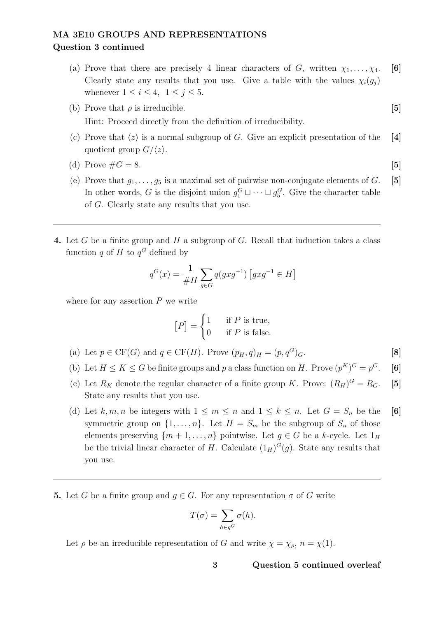# MA 3E10 GROUPS AND REPRESENTATIONS Question 3 continued

- (a) Prove that there are precisely 4 linear characters of G, written  $\chi_1, \ldots, \chi_4$ . [6] Clearly state any results that you use. Give a table with the values  $\chi_i(g_i)$ whenever  $1 \leq i \leq 4$ ,  $1 \leq j \leq 5$ .
- (b) Prove that  $\rho$  is irreducible. [5] Hint: Proceed directly from the definition of irreducibility.
- (c) Prove that  $\langle z \rangle$  is a normal subgroup of G. Give an explicit presentation of the [4] quotient group  $G/\langle z \rangle$ .
- (d) Prove  $\#G = 8$ . [5]
- (e) Prove that  $g_1, \ldots, g_5$  is a maximal set of pairwise non-conjugate elements of G. [5] In other words, G is the disjoint union  $g_1^G \sqcup \cdots \sqcup g_5^G$ . Give the character table of G. Clearly state any results that you use.
- 4. Let G be a finite group and H a subgroup of G. Recall that induction takes a class function q of H to  $q^G$  defined by

$$
q^{G}(x) = \frac{1}{\#H} \sum_{g \in G} q(gxg^{-1}) [gxg^{-1} \in H]
$$

where for any assertion  $P$  we write

$$
[P] = \begin{cases} 1 & \text{if } P \text{ is true,} \\ 0 & \text{if } P \text{ is false.} \end{cases}
$$

- (a) Let  $p \in CF(G)$  and  $q \in CF(H)$ . Prove  $(p_H, q)_H = (p, q^G)_G$ . [8]
- (b) Let  $H \leq K \leq G$  be finite groups and p a class function on H. Prove  $(p^K)^G = p$  $\lceil 6 \rceil$
- (c) Let  $R_K$  denote the regular character of a finite group K. Prove:  $(R_H)^G = R_G$ . [5] State any results that you use.
- (d) Let k, m, n be integers with  $1 \leq m \leq n$  and  $1 \leq k \leq n$ . Let  $G = S_n$  be the [6] symmetric group on  $\{1, \ldots, n\}$ . Let  $H = S_m$  be the subgroup of  $S_n$  of those elements preserving  $\{m+1,\ldots,n\}$  pointwise. Let  $g \in G$  be a k-cycle. Let  $1_H$ be the trivial linear character of H. Calculate  $(1_H)^G(g)$ . State any results that you use.
- **5.** Let G be a finite group and  $q \in G$ . For any representation  $\sigma$  of G write

$$
T(\sigma) = \sum_{h \in g^G} \sigma(h).
$$

Let  $\rho$  be an irreducible representation of G and write  $\chi = \chi_{\rho}, n = \chi(1)$ .

3 Question 5 continued overleaf